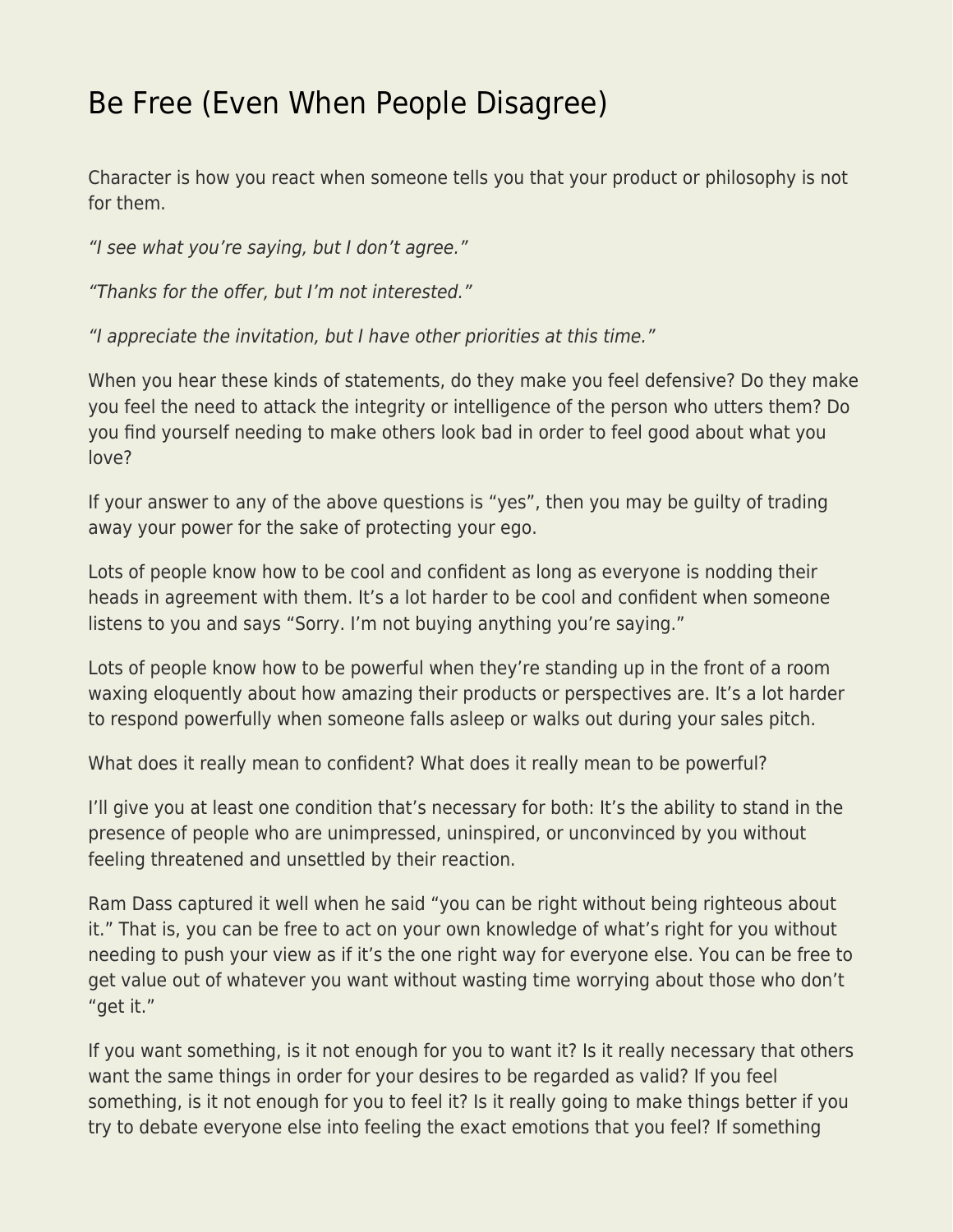## [Be Free \(Even When People Disagree\)](https://everything-voluntary.com/free-even-people-disagree)

Character is how you react when someone tells you that your product or philosophy is not for them.

"I see what you're saying, but I don't agree."

"Thanks for the offer, but I'm not interested."

"I appreciate the invitation, but I have other priorities at this time."

When you hear these kinds of statements, do they make you feel defensive? Do they make you feel the need to attack the integrity or intelligence of the person who utters them? Do you find yourself needing to make others look bad in order to feel good about what you love?

If your answer to any of the above questions is "yes", then you may be guilty of trading away your power for the sake of protecting your ego.

Lots of people know how to be cool and confident as long as everyone is nodding their heads in agreement with them. It's a lot harder to be cool and confident when someone listens to you and says "Sorry. I'm not buying anything you're saying."

Lots of people know how to be powerful when they're standing up in the front of a room waxing eloquently about how amazing their products or perspectives are. It's a lot harder to respond powerfully when someone falls asleep or walks out during your sales pitch.

What does it really mean to confident? What does it really mean to be powerful?

I'll give you at least one condition that's necessary for both: It's the ability to stand in the presence of people who are unimpressed, uninspired, or unconvinced by you without feeling threatened and unsettled by their reaction.

Ram Dass captured it well when he said "you can be right without being righteous about it." That is, you can be free to act on your own knowledge of what's right for you without needing to push your view as if it's the one right way for everyone else. You can be free to get value out of whatever you want without wasting time worrying about those who don't "get it."

If you want something, is it not enough for you to want it? Is it really necessary that others want the same things in order for your desires to be regarded as valid? If you feel something, is it not enough for you to feel it? Is it really going to make things better if you try to debate everyone else into feeling the exact emotions that you feel? If something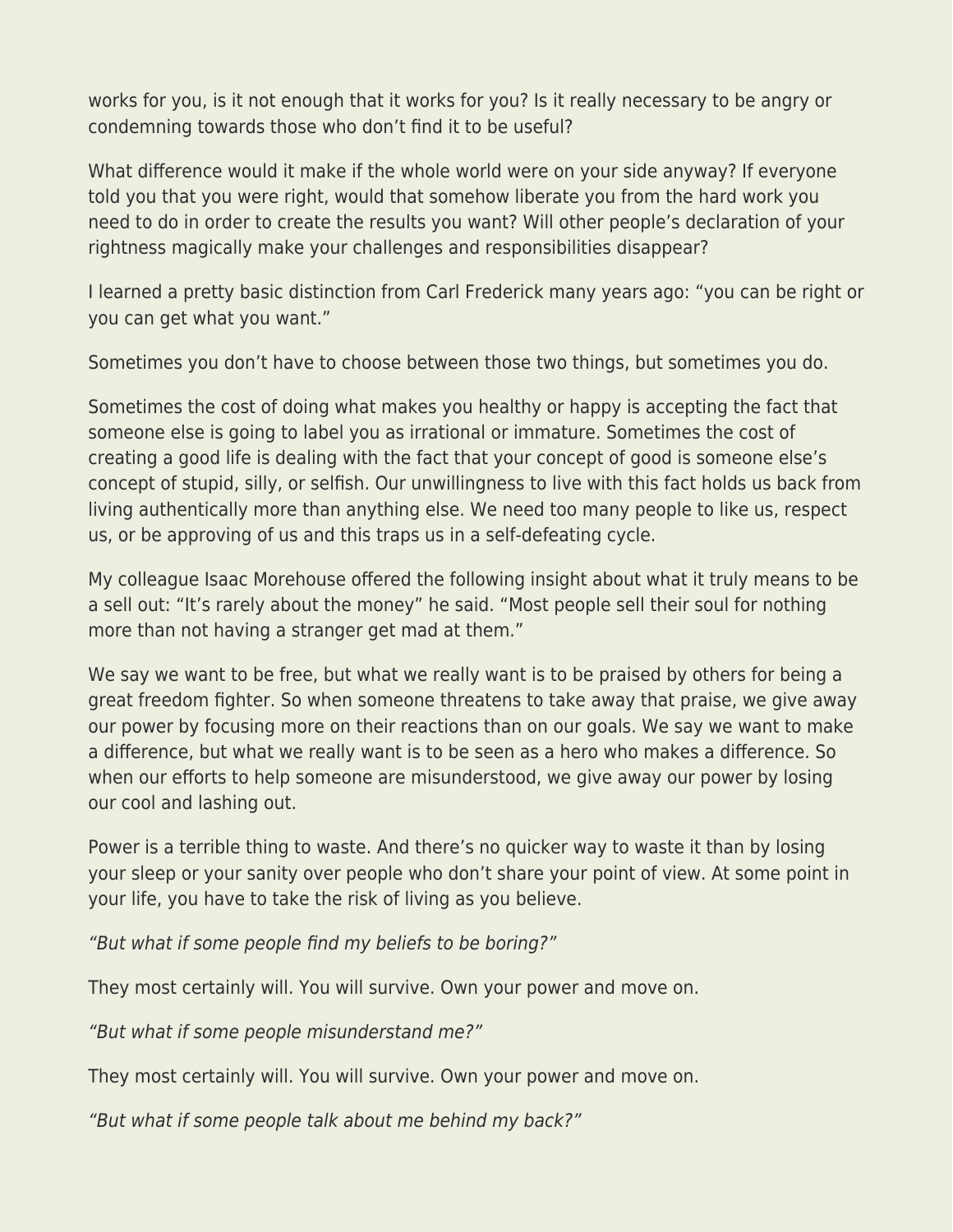works for you, is it not enough that it works for you? Is it really necessary to be angry or condemning towards those who don't find it to be useful?

What difference would it make if the whole world were on your side anyway? If everyone told you that you were right, would that somehow liberate you from the hard work you need to do in order to create the results you want? Will other people's declaration of your rightness magically make your challenges and responsibilities disappear?

I learned a pretty basic distinction from Carl Frederick many years ago: "you can be right or you can get what you want."

Sometimes you don't have to choose between those two things, but sometimes you do.

Sometimes the cost of doing what makes you healthy or happy is accepting the fact that someone else is going to label you as irrational or immature. Sometimes the cost of creating a good life is dealing with the fact that your concept of good is someone else's concept of stupid, silly, or selfish. Our unwillingness to live with this fact holds us back from living authentically more than anything else. We need too many people to like us, respect us, or be approving of us and this traps us in a self-defeating cycle.

My colleague Isaac Morehouse offered the following insight about what it truly means to be a sell out: "It's rarely about the money" he said. "Most people sell their soul for nothing more than not having a stranger get mad at them."

We say we want to be free, but what we really want is to be praised by others for being a great freedom fighter. So when someone threatens to take away that praise, we give away our power by focusing more on their reactions than on our goals. We say we want to make a difference, but what we really want is to be seen as a hero who makes a difference. So when our efforts to help someone are misunderstood, we give away our power by losing our cool and lashing out.

Power is a terrible thing to waste. And there's no quicker way to waste it than by losing your sleep or your sanity over people who don't share your point of view. At some point in your life, you have to take the risk of living as you believe.

"But what if some people find my beliefs to be boring?"

They most certainly will. You will survive. Own your power and move on.

"But what if some people misunderstand me?"

They most certainly will. You will survive. Own your power and move on.

"But what if some people talk about me behind my back?"